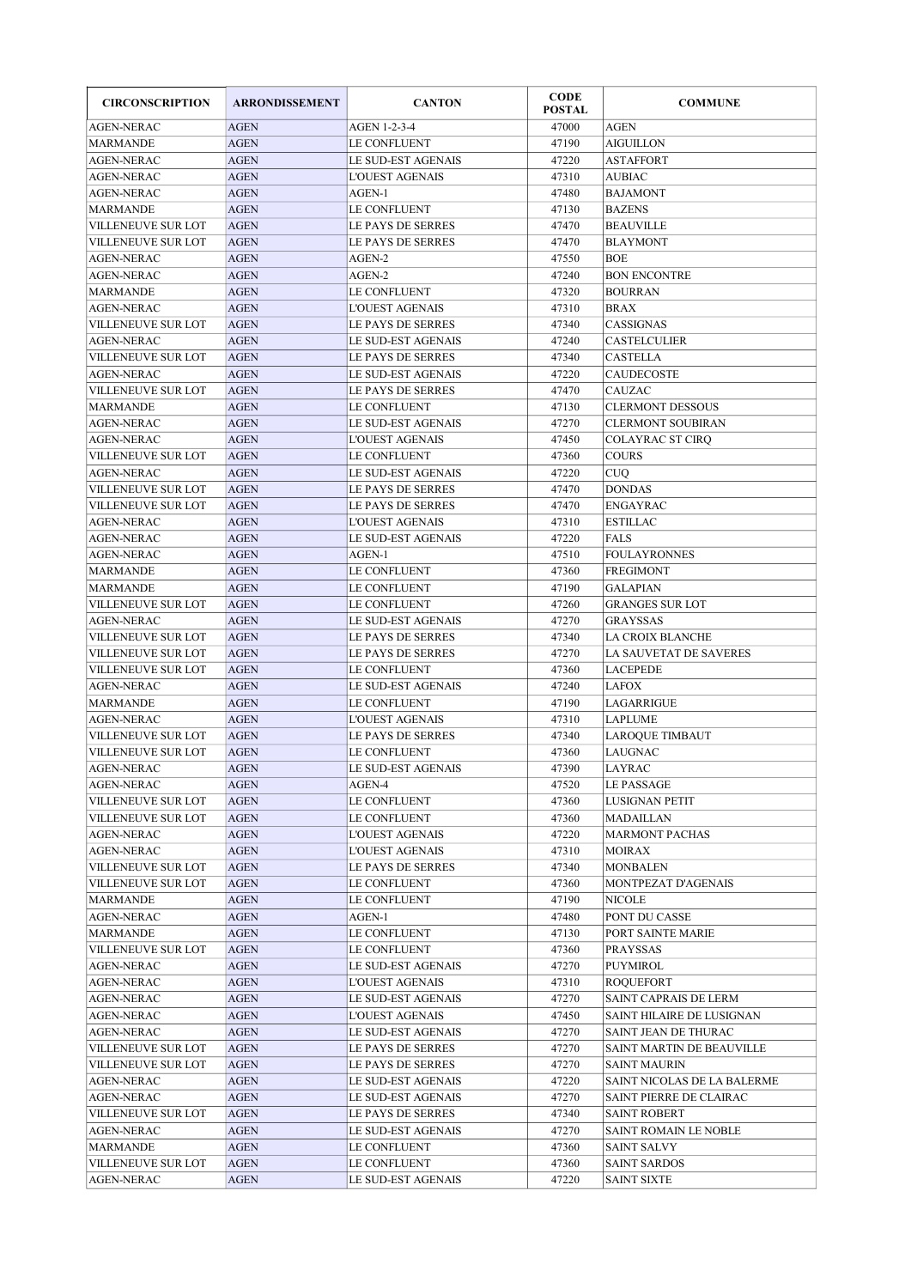| <b>CIRCONSCRIPTION</b>                  | <b>ARRONDISSEMENT</b>      | <b>CANTON</b>                           | <b>CODE</b><br><b>POSTAL</b> | <b>COMMUNE</b>                      |
|-----------------------------------------|----------------------------|-----------------------------------------|------------------------------|-------------------------------------|
| <b>AGEN-NERAC</b>                       | <b>AGEN</b>                | AGEN 1-2-3-4                            | 47000                        | <b>AGEN</b>                         |
| <b>MARMANDE</b>                         | <b>AGEN</b>                | LE CONFLUENT                            | 47190                        | <b>AIGUILLON</b>                    |
| <b>AGEN-NERAC</b>                       | <b>AGEN</b>                | LE SUD-EST AGENAIS                      | 47220                        | <b>ASTAFFORT</b>                    |
| <b>AGEN-NERAC</b>                       | <b>AGEN</b>                | <b>L'OUEST AGENAIS</b>                  | 47310                        | <b>AUBIAC</b>                       |
| <b>AGEN-NERAC</b>                       | <b>AGEN</b>                | AGEN-1                                  | 47480                        | <b>BAJAMONT</b>                     |
| <b>MARMANDE</b>                         | <b>AGEN</b>                | LE CONFLUENT                            | 47130                        | <b>BAZENS</b>                       |
| <b>VILLENEUVE SUR LOT</b>               | <b>AGEN</b>                | LE PAYS DE SERRES                       | 47470                        | <b>BEAUVILLE</b>                    |
| <b>VILLENEUVE SUR LOT</b>               | <b>AGEN</b>                | LE PAYS DE SERRES                       | 47470                        | <b>BLAYMONT</b>                     |
| <b>AGEN-NERAC</b>                       | <b>AGEN</b>                | AGEN-2                                  | 47550                        | <b>BOE</b>                          |
| <b>AGEN-NERAC</b>                       | <b>AGEN</b>                | AGEN-2                                  | 47240                        | <b>BON ENCONTRE</b>                 |
| <b>MARMANDE</b>                         | <b>AGEN</b>                | <b>LE CONFLUENT</b>                     | 47320                        | <b>BOURRAN</b>                      |
| <b>AGEN-NERAC</b>                       | <b>AGEN</b>                | <b>L'OUEST AGENAIS</b>                  | 47310                        | <b>BRAX</b>                         |
| <b>VILLENEUVE SUR LOT</b>               | <b>AGEN</b>                | LE PAYS DE SERRES                       | 47340                        | CASSIGNAS                           |
| <b>AGEN-NERAC</b>                       | <b>AGEN</b>                | LE SUD-EST AGENAIS                      | 47240                        | <b>CASTELCULIER</b>                 |
| VILLENEUVE SUR LOT                      | <b>AGEN</b>                | LE PAYS DE SERRES                       | 47340                        | <b>CASTELLA</b>                     |
| <b>AGEN-NERAC</b>                       | <b>AGEN</b>                | LE SUD-EST AGENAIS                      | 47220                        | <b>CAUDECOSTE</b>                   |
| <b>VILLENEUVE SUR LOT</b>               | <b>AGEN</b>                | LE PAYS DE SERRES                       | 47470                        | <b>CAUZAC</b>                       |
| <b>MARMANDE</b>                         | <b>AGEN</b>                | LE CONFLUENT                            | 47130                        | <b>CLERMONT DESSOUS</b>             |
| <b>AGEN-NERAC</b>                       | <b>AGEN</b>                | LE SUD-EST AGENAIS                      | 47270                        | <b>CLERMONT SOUBIRAN</b>            |
| <b>AGEN-NERAC</b>                       | <b>AGEN</b>                | <b>L'OUEST AGENAIS</b>                  | 47450                        | COLAYRAC ST CIRQ                    |
| <b>VILLENEUVE SUR LOT</b>               | <b>AGEN</b>                | <b>LE CONFLUENT</b>                     | 47360                        | <b>COURS</b>                        |
| AGEN-NERAC                              | <b>AGEN</b>                | LE SUD-EST AGENAIS                      | 47220                        | <b>CUQ</b>                          |
| <b>VILLENEUVE SUR LOT</b>               | <b>AGEN</b>                | LE PAYS DE SERRES                       | 47470                        | <b>DONDAS</b>                       |
| <b>VILLENEUVE SUR LOT</b>               | <b>AGEN</b>                | LE PAYS DE SERRES                       | 47470                        | <b>ENGAYRAC</b>                     |
| <b>AGEN-NERAC</b>                       | <b>AGEN</b>                | <b>L'OUEST AGENAIS</b>                  | 47310                        | <b>ESTILLAC</b>                     |
| <b>AGEN-NERAC</b>                       | <b>AGEN</b>                | <b>LE SUD-EST AGENAIS</b>               | 47220                        | <b>FALS</b>                         |
| <b>AGEN-NERAC</b>                       | <b>AGEN</b>                | AGEN-1                                  | 47510                        | <b>FOULAYRONNES</b>                 |
| <b>MARMANDE</b>                         | <b>AGEN</b>                | LE CONFLUENT                            | 47360                        | <b>FREGIMONT</b>                    |
| <b>MARMANDE</b>                         | <b>AGEN</b>                | LE CONFLUENT                            | 47190                        | <b>GALAPIAN</b>                     |
| <b>VILLENEUVE SUR LOT</b>               | <b>AGEN</b>                | LE CONFLUENT                            | 47260<br>47270               | <b>GRANGES SUR LOT</b>              |
| <b>AGEN-NERAC</b><br>VILLENEUVE SUR LOT | <b>AGEN</b><br><b>AGEN</b> | LE SUD-EST AGENAIS<br>LE PAYS DE SERRES | 47340                        | <b>GRAYSSAS</b><br>LA CROIX BLANCHE |
| <b>VILLENEUVE SUR LOT</b>               | <b>AGEN</b>                | LE PAYS DE SERRES                       | 47270                        | LA SAUVETAT DE SAVERES              |
| <b>VILLENEUVE SUR LOT</b>               | <b>AGEN</b>                | LE CONFLUENT                            | 47360                        | <b>LACEPEDE</b>                     |
| <b>AGEN-NERAC</b>                       | <b>AGEN</b>                | <b>LE SUD-EST AGENAIS</b>               | 47240                        | <b>LAFOX</b>                        |
| <b>MARMANDE</b>                         | <b>AGEN</b>                | LE CONFLUENT                            | 47190                        | LAGARRIGUE                          |
| <b>AGEN-NERAC</b>                       | <b>AGEN</b>                | <b>L'OUEST AGENAIS</b>                  | 47310                        | <b>LAPLUME</b>                      |
| <b>VILLENEUVE SUR LOT</b>               | <b>AGEN</b>                | LE PAYS DE SERRES                       | 47340                        | <b>LAROQUE TIMBAUT</b>              |
| <b>VILLENEUVE SUR LOT</b>               | <b>AGEN</b>                | LE CONFLUENT                            | 47360                        | <b>LAUGNAC</b>                      |
| <b>AGEN-NERAC</b>                       | <b>AGEN</b>                | LE SUD-EST AGENAIS                      | 47390                        | LAYRAC                              |
| <b>AGEN-NERAC</b>                       | <b>AGEN</b>                | AGEN-4                                  | 47520                        | LE PASSAGE                          |
| VILLENEUVE SUR LOT                      | <b>AGEN</b>                | LE CONFLUENT                            | 47360                        | LUSIGNAN PETIT                      |
| VILLENEUVE SUR LOT                      | <b>AGEN</b>                | LE CONFLUENT                            | 47360                        | MADAILLAN                           |
| AGEN-NERAC                              | <b>AGEN</b>                | <b>L'OUEST AGENAIS</b>                  | 47220                        | <b>MARMONT PACHAS</b>               |
| <b>AGEN-NERAC</b>                       | <b>AGEN</b>                | <b>L'OUEST AGENAIS</b>                  | 47310                        | <b>MOIRAX</b>                       |
| VILLENEUVE SUR LOT                      | <b>AGEN</b>                | LE PAYS DE SERRES                       | 47340                        | MONBALEN                            |
| VILLENEUVE SUR LOT                      | AGEN                       | LE CONFLUENT                            | 47360                        | MONTPEZAT D'AGENAIS                 |
| <b>MARMANDE</b>                         | <b>AGEN</b>                | LE CONFLUENT                            | 47190                        | <b>NICOLE</b>                       |
| <b>AGEN-NERAC</b>                       | <b>AGEN</b>                | AGEN-1                                  | 47480                        | PONT DU CASSE                       |
| <b>MARMANDE</b>                         | <b>AGEN</b>                | LE CONFLUENT                            | 47130                        | PORT SAINTE MARIE                   |
| VILLENEUVE SUR LOT                      | AGEN                       | LE CONFLUENT                            | 47360                        | PRAYSSAS                            |
| AGEN-NERAC                              | <b>AGEN</b>                | LE SUD-EST AGENAIS                      | 47270                        | PUYMIROL                            |
| <b>AGEN-NERAC</b>                       | <b>AGEN</b>                | <b>L'OUEST AGENAIS</b>                  | 47310                        | <b>ROQUEFORT</b>                    |
| <b>AGEN-NERAC</b>                       | <b>AGEN</b>                | LE SUD-EST AGENAIS                      | 47270                        | SAINT CAPRAIS DE LERM               |
| <b>AGEN-NERAC</b>                       | <b>AGEN</b>                | <b>L'OUEST AGENAIS</b>                  | 47450                        | SAINT HILAIRE DE LUSIGNAN           |
| <b>AGEN-NERAC</b>                       | <b>AGEN</b>                | LE SUD-EST AGENAIS                      | 47270                        | SAINT JEAN DE THURAC                |
| VILLENEUVE SUR LOT                      | <b>AGEN</b>                | LE PAYS DE SERRES                       | 47270                        | SAINT MARTIN DE BEAUVILLE           |
| VILLENEUVE SUR LOT                      | <b>AGEN</b>                | LE PAYS DE SERRES                       | 47270                        | <b>SAINT MAURIN</b>                 |
| <b>AGEN-NERAC</b>                       | <b>AGEN</b>                | LE SUD-EST AGENAIS                      | 47220                        | SAINT NICOLAS DE LA BALERME         |
| <b>AGEN-NERAC</b>                       | <b>AGEN</b>                | LE SUD-EST AGENAIS                      | 47270                        | SAINT PIERRE DE CLAIRAC             |
| VILLENEUVE SUR LOT                      | <b>AGEN</b>                | LE PAYS DE SERRES                       | 47340                        | <b>SAINT ROBERT</b>                 |
| <b>AGEN-NERAC</b>                       | <b>AGEN</b>                | LE SUD-EST AGENAIS                      | 47270                        | SAINT ROMAIN LE NOBLE               |
| MARMANDE                                | <b>AGEN</b>                | LE CONFLUENT                            | 47360                        | <b>SAINT SALVY</b>                  |
| <b>VILLENEUVE SUR LOT</b>               | <b>AGEN</b>                | LE CONFLUENT                            | 47360                        | <b>SAINT SARDOS</b>                 |
| <b>AGEN-NERAC</b>                       | <b>AGEN</b>                | LE SUD-EST AGENAIS                      | 47220                        | <b>SAINT SIXTE</b>                  |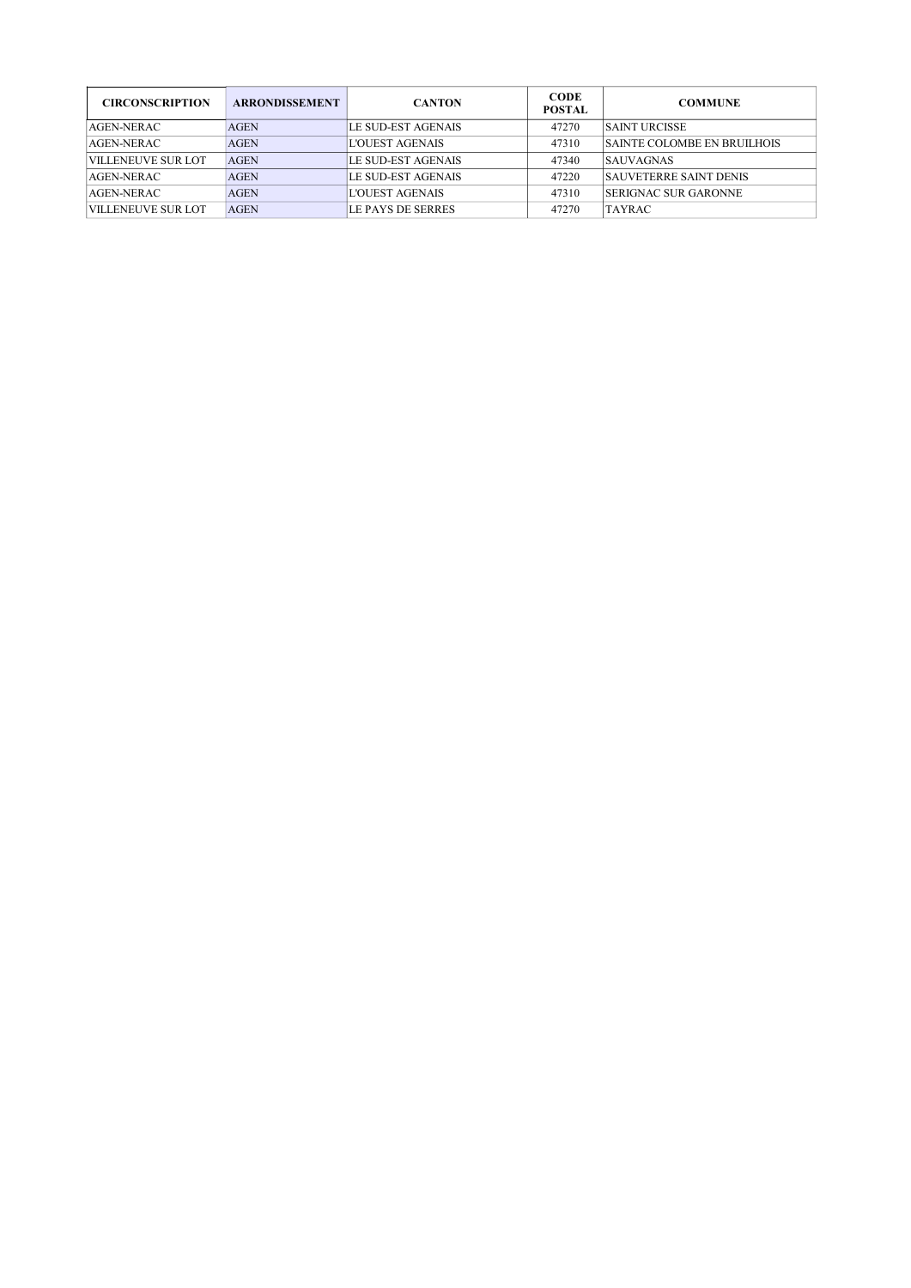| <b>CIRCONSCRIPTION</b> | <b>ARRONDISSEMENT</b> | <b>CANTON</b>          | <b>CODE</b><br><b>POSTAL</b> | <b>COMMUNE</b>                     |
|------------------------|-----------------------|------------------------|------------------------------|------------------------------------|
| AGEN-NERAC             | <b>AGEN</b>           | LE SUD-EST AGENAIS     | 47270                        | SAINT URCISSE                      |
| AGEN-NERAC             | <b>AGEN</b>           | L'OUEST AGENAIS        | 47310                        | <b>SAINTE COLOMBE EN BRUILHOIS</b> |
| VILLENEUVE SUR LOT     | <b>AGEN</b>           | LE SUD-EST AGENAIS     | 47340                        | <b>SAUVAGNAS</b>                   |
| $AGEN-NERAC$           | <b>AGEN</b>           | LE SUD-EST AGENAIS     | 47220                        | <b>SAUVETERRE SAINT DENIS</b>      |
| $AGEN-NERAC$           | <b>AGEN</b>           | <b>L'OUEST AGENAIS</b> | 47310                        | <b>SERIGNAC SUR GARONNE</b>        |
| VILLENEUVE SUR LOT     | <b>AGEN</b>           | LE PAYS DE SERRES      | 47270                        | <b>TAYRAC</b>                      |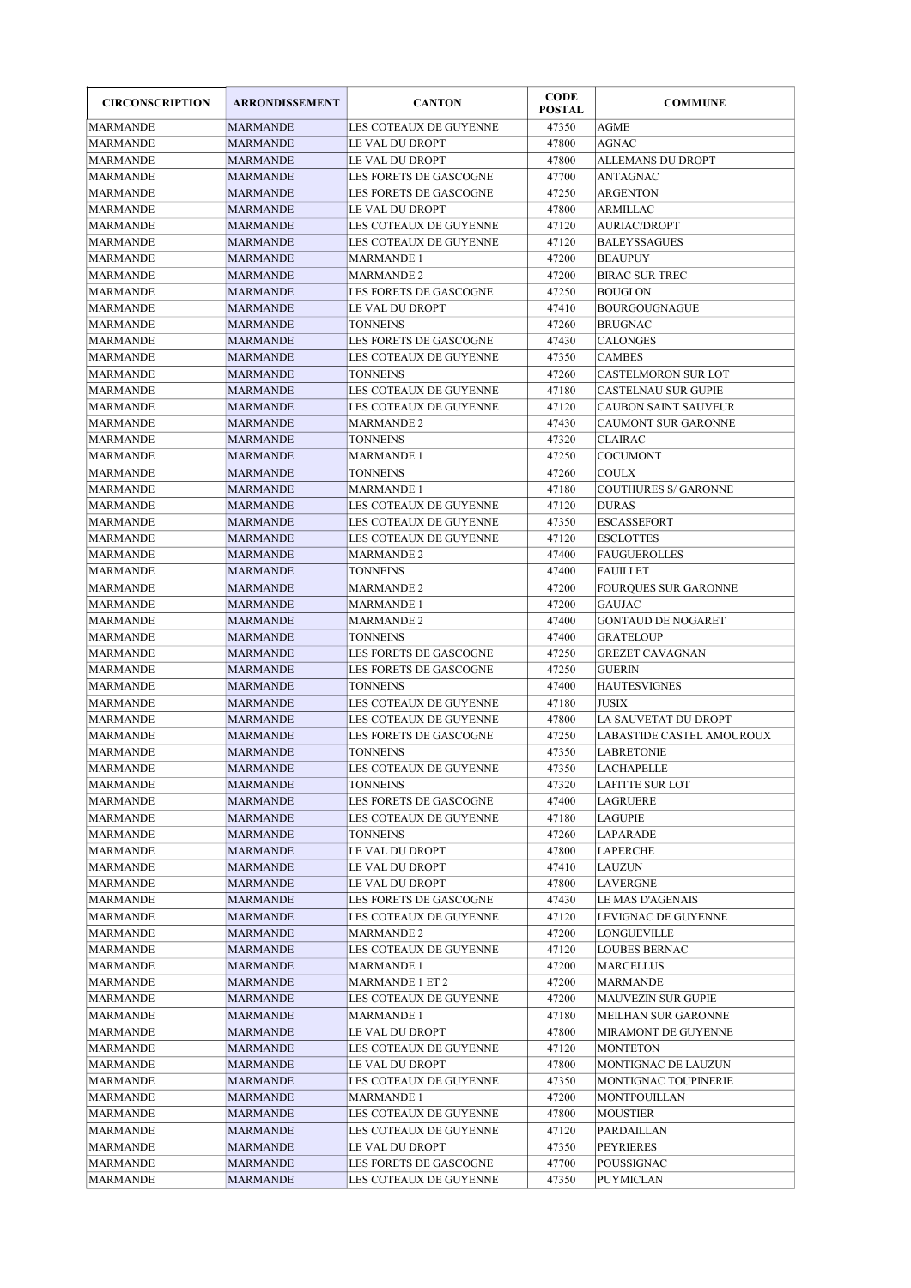| <b>CIRCONSCRIPTION</b> | <b>ARRONDISSEMENT</b> | <b>CANTON</b>                        | <b>CODE</b><br><b>POSTAL</b> | <b>COMMUNE</b>              |
|------------------------|-----------------------|--------------------------------------|------------------------------|-----------------------------|
| <b>MARMANDE</b>        | <b>MARMANDE</b>       | LES COTEAUX DE GUYENNE               | 47350                        | <b>AGME</b>                 |
| MARMANDE               | MARMANDE              | LE VAL DU DROPT                      | 47800                        | <b>AGNAC</b>                |
| MARMANDE               | MARMANDE              | LE VAL DU DROPT                      | 47800                        | ALLEMANS DU DROPT           |
| <b>MARMANDE</b>        | MARMANDE              | LES FORETS DE GASCOGNE               | 47700                        | ANTAGNAC                    |
| MARMANDE               | <b>MARMANDE</b>       | LES FORETS DE GASCOGNE               | 47250                        | <b>ARGENTON</b>             |
| <b>MARMANDE</b>        | MARMANDE              | LE VAL DU DROPT                      | 47800                        | <b>ARMILLAC</b>             |
| MARMANDE               | MARMANDE              | LES COTEAUX DE GUYENNE               | 47120                        | <b>AURIAC/DROPT</b>         |
| MARMANDE               | MARMANDE              | LES COTEAUX DE GUYENNE               | 47120                        | <b>BALEYSSAGUES</b>         |
| <b>MARMANDE</b>        | <b>MARMANDE</b>       | MARMANDE 1                           | 47200                        | <b>BEAUPUY</b>              |
| MARMANDE               | MARMANDE              | <b>MARMANDE 2</b>                    | 47200                        | <b>BIRAC SUR TREC</b>       |
| MARMANDE               | MARMANDE              | LES FORETS DE GASCOGNE               | 47250                        | <b>BOUGLON</b>              |
| MARMANDE               | <b>MARMANDE</b>       | LE VAL DU DROPT                      | 47410                        | <b>BOURGOUGNAGUE</b>        |
| <b>MARMANDE</b>        | MARMANDE              | TONNEINS                             | 47260                        | <b>BRUGNAC</b>              |
| <b>MARMANDE</b>        | MARMANDE              | LES FORETS DE GASCOGNE               | 47430                        | <b>CALONGES</b>             |
| <b>MARMANDE</b>        | MARMANDE              | LES COTEAUX DE GUYENNE               | 47350                        | <b>CAMBES</b>               |
| <b>MARMANDE</b>        | <b>MARMANDE</b>       | <b>TONNEINS</b>                      | 47260                        | <b>CASTELMORON SUR LOT</b>  |
| MARMANDE               | MARMANDE              | LES COTEAUX DE GUYENNE               | 47180                        | <b>CASTELNAU SUR GUPIE</b>  |
| <b>MARMANDE</b>        | MARMANDE              | LES COTEAUX DE GUYENNE               | 47120                        | <b>CAUBON SAINT SAUVEUR</b> |
| MARMANDE               | MARMANDE              | <b>MARMANDE 2</b>                    | 47430                        | <b>CAUMONT SUR GARONNE</b>  |
| <b>MARMANDE</b>        | MARMANDE              | <b>TONNEINS</b>                      | 47320                        | <b>CLAIRAC</b>              |
| MARMANDE               | <b>MARMANDE</b>       | <b>MARMANDE 1</b>                    | 47250                        | <b>COCUMONT</b>             |
| MARMANDE               | MARMANDE              | TONNEINS                             | 47260                        | <b>COULX</b>                |
| <b>MARMANDE</b>        |                       |                                      |                              |                             |
| <b>MARMANDE</b>        | MARMANDE              | MARMANDE 1<br>LES COTEAUX DE GUYENNE | 47180                        | <b>COUTHURES S/ GARONNE</b> |
|                        | MARMANDE              |                                      | 47120                        | <b>DURAS</b>                |
| <b>MARMANDE</b>        | MARMANDE              | LES COTEAUX DE GUYENNE               | 47350                        | <b>ESCASSEFORT</b>          |
| <b>MARMANDE</b>        | <b>MARMANDE</b>       | LES COTEAUX DE GUYENNE               | 47120                        | <b>ESCLOTTES</b>            |
| MARMANDE               | MARMANDE              | MARMANDE 2                           | 47400                        | <b>FAUGUEROLLES</b>         |
| MARMANDE               | MARMANDE              | TONNEINS                             | 47400                        | <b>FAUILLET</b>             |
| MARMANDE               | MARMANDE              | MARMANDE 2                           | 47200                        | <b>FOURQUES SUR GARONNE</b> |
| MARMANDE               | MARMANDE              | MARMANDE 1                           | 47200                        | <b>GAUJAC</b>               |
| MARMANDE               | MARMANDE              | <b>MARMANDE 2</b>                    | 47400                        | <b>GONTAUD DE NOGARET</b>   |
| MARMANDE               | MARMANDE              | TONNEINS                             | 47400                        | <b>GRATELOUP</b>            |
| MARMANDE               | MARMANDE              | LES FORETS DE GASCOGNE               | 47250                        | <b>GREZET CAVAGNAN</b>      |
| MARMANDE               | MARMANDE              | LES FORETS DE GASCOGNE               | 47250                        | <b>GUERIN</b>               |
| <b>MARMANDE</b>        | MARMANDE              | <b>TONNEINS</b>                      | 47400                        | <b>HAUTESVIGNES</b>         |
| MARMANDE               | <b>MARMANDE</b>       | LES COTEAUX DE GUYENNE               | 47180                        | <b>JUSIX</b>                |
| <b>MARMANDE</b>        | MARMANDE              | LES COTEAUX DE GUYENNE               | 47800                        | LA SAUVETAT DU DROPT        |
| <b>MARMANDE</b>        | MARMANDE              | LES FORETS DE GASCOGNE               | 47250                        | LABASTIDE CASTEL AMOUROUX   |
| MARMANDE               | MARMANDE              | <b>TONNEINS</b>                      | 47350                        | <b>LABRETONIE</b>           |
| MARMANDE               | <b>MARMANDE</b>       | LES COTEAUX DE GUYENNE               | 47350                        | <b>LACHAPELLE</b>           |
| MARMANDE               | MARMANDE              | <b>TONNEINS</b>                      | 47320                        | <b>LAFITTE SUR LOT</b>      |
| <b>MARMANDE</b>        | MARMANDE              | LES FORETS DE GASCOGNE               | 47400                        | LAGRUERE                    |
| MARMANDE               | MARMANDE              | LES COTEAUX DE GUYENNE               | 47180                        | LAGUPIE                     |
| MARMANDE               | MARMANDE              | <b>TONNEINS</b>                      | 47260                        | LAPARADE                    |
| <b>MARMANDE</b>        | <b>MARMANDE</b>       | LE VAL DU DROPT                      | 47800                        | LAPERCHE                    |
| MARMANDE               | MARMANDE              | LE VAL DU DROPT                      | 47410                        | LAUZUN                      |
| <b>MARMANDE</b>        | MARMANDE              | LE VAL DU DROPT                      | 47800                        | LAVERGNE                    |
| <b>MARMANDE</b>        | MARMANDE              | LES FORETS DE GASCOGNE               | 47430                        | LE MAS D'AGENAIS            |
| MARMANDE               | MARMANDE              | LES COTEAUX DE GUYENNE               | 47120                        | LEVIGNAC DE GUYENNE         |
| MARMANDE               | MARMANDE              | <b>MARMANDE 2</b>                    | 47200                        | <b>LONGUEVILLE</b>          |
| MARMANDE               | MARMANDE              | LES COTEAUX DE GUYENNE               | 47120                        | <b>LOUBES BERNAC</b>        |
| MARMANDE               | MARMANDE              | MARMANDE 1                           | 47200                        | MARCELLUS                   |
| MARMANDE               | MARMANDE              | MARMANDE 1 ET 2                      | 47200                        | MARMANDE                    |
| <b>MARMANDE</b>        | MARMANDE              | LES COTEAUX DE GUYENNE               | 47200                        | <b>MAUVEZIN SUR GUPIE</b>   |
| MARMANDE               | MARMANDE              | MARMANDE 1                           | 47180                        | MEILHAN SUR GARONNE         |
| MARMANDE               | MARMANDE              | LE VAL DU DROPT                      | 47800                        | MIRAMONT DE GUYENNE         |
| MARMANDE               | MARMANDE              | LES COTEAUX DE GUYENNE               | 47120                        | <b>MONTETON</b>             |
| <b>MARMANDE</b>        | MARMANDE              | LE VAL DU DROPT                      | 47800                        | MONTIGNAC DE LAUZUN         |
| <b>MARMANDE</b>        | MARMANDE              | LES COTEAUX DE GUYENNE               | 47350                        | MONTIGNAC TOUPINERIE        |
| MARMANDE               | MARMANDE              | MARMANDE 1                           | 47200                        | MONTPOUILLAN                |
| <b>MARMANDE</b>        |                       | LES COTEAUX DE GUYENNE               | 47800                        | <b>MOUSTIER</b>             |
|                        | MARMANDE              |                                      |                              |                             |
| MARMANDE               | MARMANDE              | LES COTEAUX DE GUYENNE               | 47120                        | PARDAILLAN                  |
| MARMANDE               | MARMANDE              | LE VAL DU DROPT                      | 47350                        | PEYRIERES                   |
| <b>MARMANDE</b>        | MARMANDE              | LES FORETS DE GASCOGNE               | 47700                        | POUSSIGNAC                  |
| <b>MARMANDE</b>        | MARMANDE              | LES COTEAUX DE GUYENNE               | 47350                        | PUYMICLAN                   |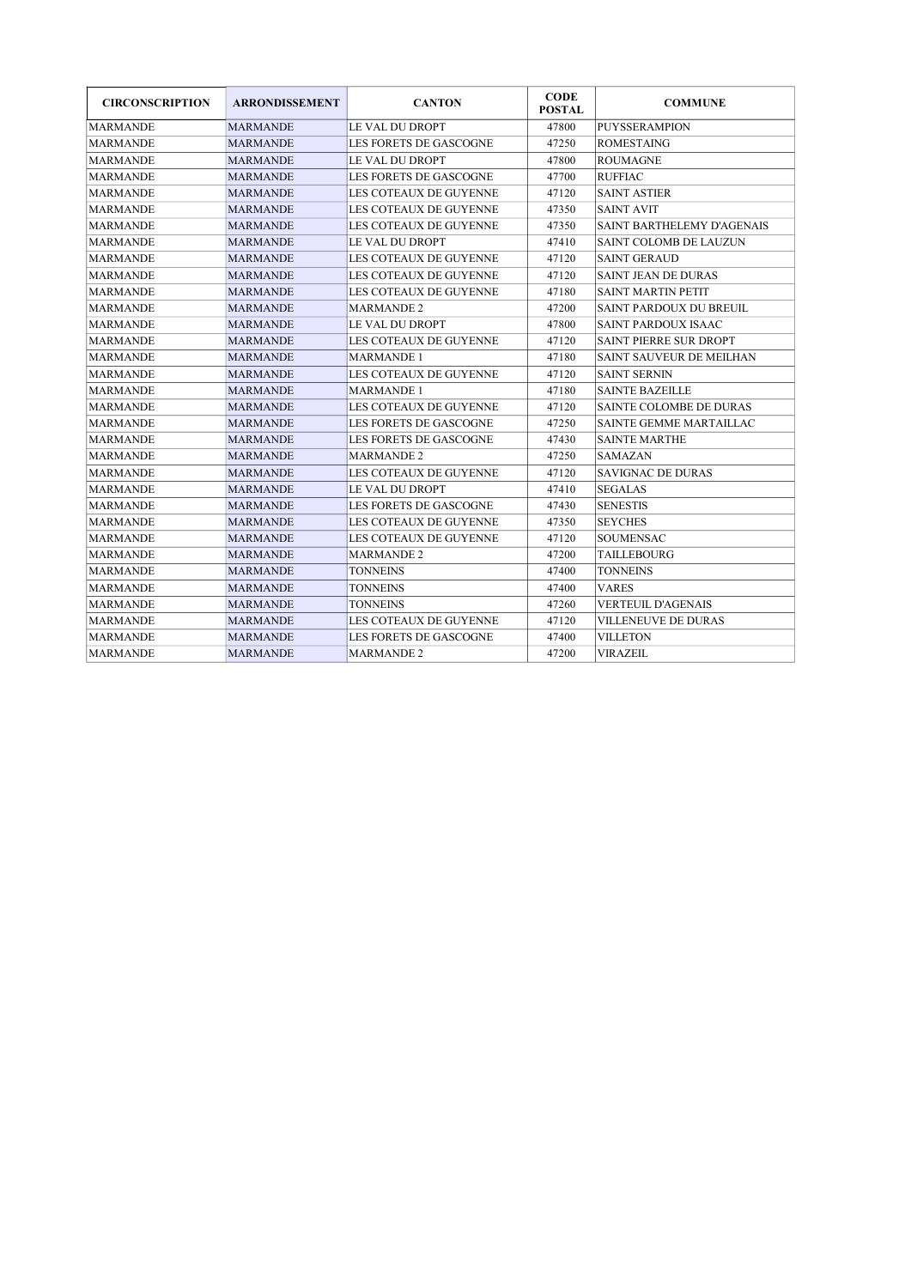| <b>CIRCONSCRIPTION</b> | <b>ARRONDISSEMENT</b> | <b>CANTON</b>          | <b>CODE</b><br><b>POSTAL</b> | <b>COMMUNE</b>                    |
|------------------------|-----------------------|------------------------|------------------------------|-----------------------------------|
| <b>MARMANDE</b>        | <b>MARMANDE</b>       | LE VAL DU DROPT        | 47800                        | <b>PUYSSER AMPION</b>             |
| <b>MARMANDE</b>        | <b>MARMANDE</b>       | LES FORETS DE GASCOGNE | 47250                        | <b>ROMESTAING</b>                 |
| <b>MARMANDE</b>        | <b>MARMANDE</b>       | LE VAL DU DROPT        | 47800                        | <b>ROUMAGNE</b>                   |
| <b>MARMANDE</b>        | <b>MARMANDE</b>       | LES FORETS DE GASCOGNE | 47700                        | <b>RUFFIAC</b>                    |
| <b>MARMANDE</b>        | <b>MARMANDE</b>       | LES COTEAUX DE GUYENNE | 47120                        | <b>SAINT ASTIER</b>               |
| <b>MARMANDE</b>        | <b>MARMANDE</b>       | LES COTEAUX DE GUYENNE | 47350                        | <b>SAINT AVIT</b>                 |
| <b>MARMANDE</b>        | <b>MARMANDE</b>       | LES COTEAUX DE GUYENNE | 47350                        | <b>SAINT BARTHELEMY D'AGENAIS</b> |
| <b>MARMANDE</b>        | <b>MARMANDE</b>       | LE VAL DU DROPT        | 47410                        | SAINT COLOMB DE LAUZUN            |
| <b>MARMANDE</b>        | <b>MARMANDE</b>       | LES COTEAUX DE GUYENNE | 47120                        | <b>SAINT GERAUD</b>               |
| <b>MARMANDE</b>        | <b>MARMANDE</b>       | LES COTEAUX DE GUYENNE | 47120                        | <b>SAINT JEAN DE DURAS</b>        |
| <b>MARMANDE</b>        | <b>MARMANDE</b>       | LES COTEAUX DE GUYENNE | 47180                        | <b>SAINT MARTIN PETIT</b>         |
| <b>MARMANDE</b>        | <b>MARMANDE</b>       | <b>MARMANDE 2</b>      | 47200                        | <b>SAINT PARDOUX DU BREUIL</b>    |
| <b>MARMANDE</b>        | <b>MARMANDE</b>       | LE VAL DU DROPT        | 47800                        | SAINT PARDOUX ISAAC               |
| <b>MARMANDE</b>        | <b>MARMANDE</b>       | LES COTEAUX DE GUYENNE | 47120                        | SAINT PIERRE SUR DROPT            |
| <b>MARMANDE</b>        | <b>MARMANDE</b>       | <b>MARMANDE 1</b>      | 47180                        | SAINT SAUVEUR DE MEILHAN          |
| <b>MARMANDE</b>        | <b>MARMANDE</b>       | LES COTEAUX DE GUYENNE | 47120                        | <b>SAINT SERNIN</b>               |
| <b>MARMANDE</b>        | <b>MARMANDE</b>       | <b>MARMANDE 1</b>      | 47180                        | <b>SAINTE BAZEILLE</b>            |
| <b>MARMANDE</b>        | <b>MARMANDE</b>       | LES COTEAUX DE GUYENNE | 47120                        | <b>SAINTE COLOMBE DE DURAS</b>    |
| <b>MARMANDE</b>        | <b>MARMANDE</b>       | LES FORETS DE GASCOGNE | 47250                        | <b>SAINTE GEMME MARTAILLAC</b>    |
| <b>MARMANDE</b>        | <b>MARMANDE</b>       | LES FORETS DE GASCOGNE | 47430                        | <b>SAINTE MARTHE</b>              |
| <b>MARMANDE</b>        | <b>MARMANDE</b>       | <b>MARMANDE 2</b>      | 47250                        | SAMAZAN                           |
| <b>MARMANDE</b>        | <b>MARMANDE</b>       | LES COTEAUX DE GUYENNE | 47120                        | <b>SAVIGNAC DE DURAS</b>          |
| <b>MARMANDE</b>        | <b>MARMANDE</b>       | LE VAL DU DROPT        | 47410                        | <b>SEGALAS</b>                    |
| <b>MARMANDE</b>        | <b>MARMANDE</b>       | LES FORETS DE GASCOGNE | 47430                        | <b>SENESTIS</b>                   |
| <b>MARMANDE</b>        | <b>MARMANDE</b>       | LES COTEAUX DE GUYENNE | 47350                        | <b>SEYCHES</b>                    |
| <b>MARMANDE</b>        | <b>MARMANDE</b>       | LES COTEAUX DE GUYENNE | 47120                        | <b>SOUMENSAC</b>                  |
| <b>MARMANDE</b>        | <b>MARMANDE</b>       | <b>MARMANDE 2</b>      | 47200                        | TAILLEBOURG                       |
| <b>MARMANDE</b>        | <b>MARMANDE</b>       | <b>TONNEINS</b>        | 47400                        | <b>TONNEINS</b>                   |
| <b>MARMANDE</b>        | <b>MARMANDE</b>       | <b>TONNEINS</b>        | 47400                        | <b>VARES</b>                      |
| <b>MARMANDE</b>        | <b>MARMANDE</b>       | TONNEINS               | 47260                        | <b>VERTEUIL D'AGENAIS</b>         |
| <b>MARMANDE</b>        | <b>MARMANDE</b>       | LES COTEAUX DE GUYENNE | 47120                        | <b>VILLENEUVE DE DURAS</b>        |
| <b>MARMANDE</b>        | <b>MARMANDE</b>       | LES FORETS DE GASCOGNE | 47400                        | <b>VILLETON</b>                   |
| <b>MARMANDE</b>        | <b>MARMANDE</b>       | <b>MARMANDE 2</b>      | 47200                        | VIRAZEIL                          |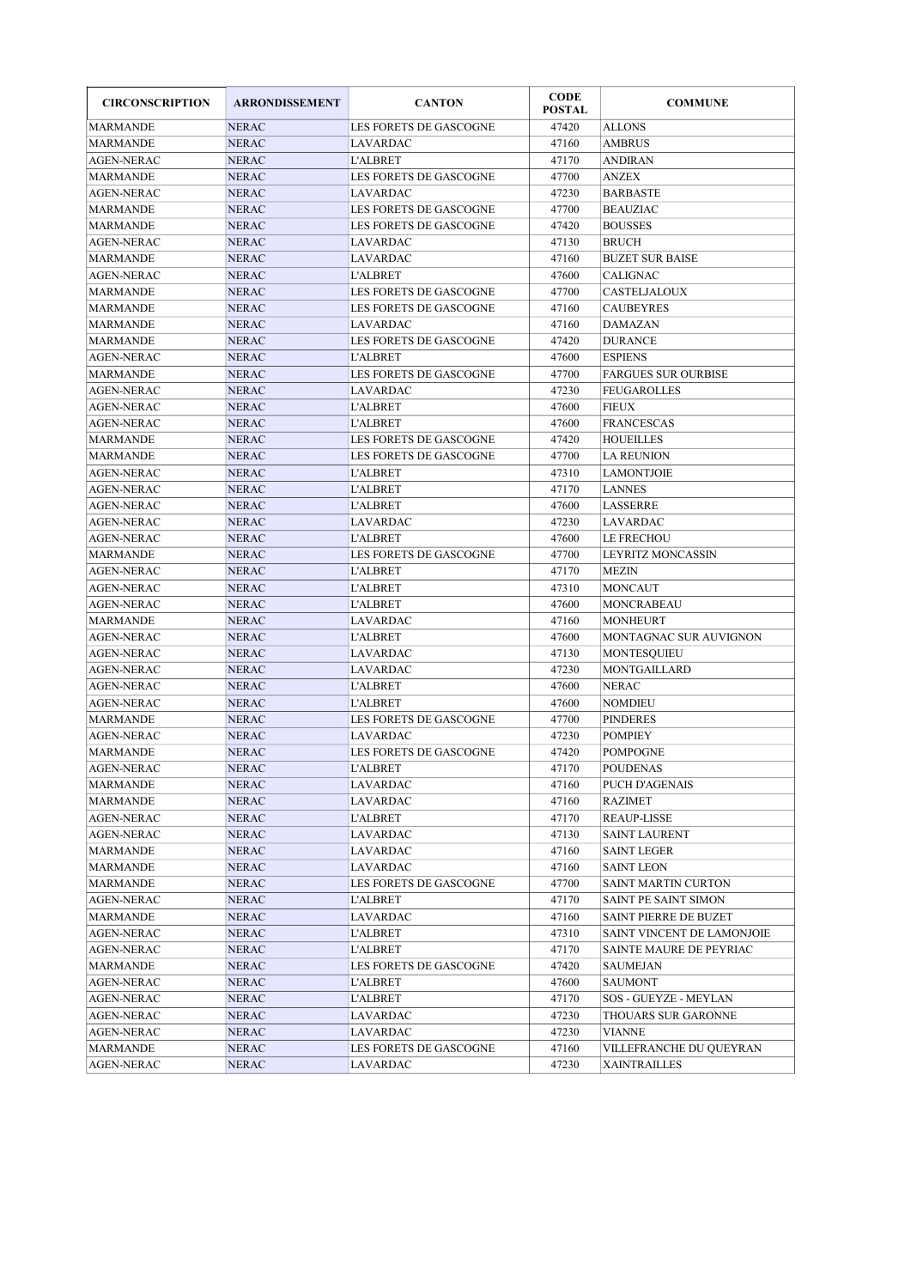| <b>CIRCONSCRIPTION</b> | <b>ARRONDISSEMENT</b> | <b>CANTON</b>          | <b>CODE</b><br><b>POSTAL</b> | <b>COMMUNE</b>             |
|------------------------|-----------------------|------------------------|------------------------------|----------------------------|
| <b>MARMANDE</b>        | <b>NERAC</b>          | LES FORETS DE GASCOGNE | 47420                        | <b>ALLONS</b>              |
| <b>MARMANDE</b>        | <b>NERAC</b>          | <b>LAVARDAC</b>        | 47160                        | <b>AMBRUS</b>              |
| <b>AGEN-NERAC</b>      | NERAC                 | <b>L'ALBRET</b>        | 47170                        | ANDIRAN                    |
| <b>MARMANDE</b>        | NERAC                 | LES FORETS DE GASCOGNE | 47700                        | ANZEX                      |
| <b>AGEN-NERAC</b>      | <b>NERAC</b>          | <b>LAVARDAC</b>        | 47230                        | <b>BARBASTE</b>            |
| <b>MARMANDE</b>        | NERAC                 | LES FORETS DE GASCOGNE | 47700                        | <b>BEAUZIAC</b>            |
| <b>MARMANDE</b>        | <b>NERAC</b>          | LES FORETS DE GASCOGNE | 47420                        | <b>BOUSSES</b>             |
| <b>AGEN-NERAC</b>      | NERAC                 | <b>LAVARDAC</b>        | 47130                        | <b>BRUCH</b>               |
| <b>MARMANDE</b>        | <b>NERAC</b>          | <b>LAVARDAC</b>        | 47160                        | <b>BUZET SUR BAISE</b>     |
| <b>AGEN-NERAC</b>      | <b>NERAC</b>          | <b>L'ALBRET</b>        | 47600                        | <b>CALIGNAC</b>            |
| <b>MARMANDE</b>        | <b>NERAC</b>          | LES FORETS DE GASCOGNE | 47700                        | CASTELJALOUX               |
| <b>MARMANDE</b>        | <b>NERAC</b>          | LES FORETS DE GASCOGNE | 47160                        | <b>CAUBEYRES</b>           |
| <b>MARMANDE</b>        | NERAC                 | <b>LAVARDAC</b>        | 47160                        | <b>DAMAZAN</b>             |
| <b>MARMANDE</b>        | <b>NERAC</b>          | LES FORETS DE GASCOGNE | 47420                        | <b>DURANCE</b>             |
| <b>AGEN-NERAC</b>      | <b>NERAC</b>          | <b>L'ALBRET</b>        | 47600                        | <b>ESPIENS</b>             |
| <b>MARMANDE</b>        | <b>NERAC</b>          | LES FORETS DE GASCOGNE | 47700                        | <b>FARGUES SUR OURBISE</b> |
| <b>AGEN-NERAC</b>      | <b>NERAC</b>          | <b>LAVARDAC</b>        | 47230                        | <b>FEUGAROLLES</b>         |
| <b>AGEN-NERAC</b>      | <b>NERAC</b>          | <b>L'ALBRET</b>        | 47600                        | <b>FIEUX</b>               |
| <b>AGEN-NERAC</b>      | <b>NERAC</b>          | <b>L'ALBRET</b>        | 47600                        | <b>FRANCESCAS</b>          |
| MARMANDE               | NERAC                 | LES FORETS DE GASCOGNE | 47420                        | <b>HOUEILLES</b>           |
| MARMANDE               | <b>NERAC</b>          | LES FORETS DE GASCOGNE | 47700                        | <b>LA REUNION</b>          |
| <b>AGEN-NERAC</b>      | <b>NERAC</b>          | <b>L'ALBRET</b>        | 47310                        | <b>LAMONTJOIE</b>          |
| <b>AGEN-NERAC</b>      | <b>NERAC</b>          | <b>L'ALBRET</b>        | 47170                        | <b>LANNES</b>              |
| <b>AGEN-NERAC</b>      | <b>NERAC</b>          | <b>L'ALBRET</b>        | 47600                        | LASSERRE                   |
| <b>AGEN-NERAC</b>      | <b>NERAC</b>          | <b>LAVARDAC</b>        | 47230                        | LAVARDAC                   |
| <b>AGEN-NERAC</b>      | <b>NERAC</b>          | <b>L'ALBRET</b>        | 47600                        | LE FRECHOU                 |
| MARMANDE               | <b>NERAC</b>          | LES FORETS DE GASCOGNE | 47700                        | <b>LEYRITZ MONCASSIN</b>   |
| <b>AGEN-NERAC</b>      | <b>NERAC</b>          | <b>L'ALBRET</b>        | 47170                        | <b>MEZIN</b>               |
| <b>AGEN-NERAC</b>      | <b>NERAC</b>          | <b>L'ALBRET</b>        | 47310                        | <b>MONCAUT</b>             |
| <b>AGEN-NERAC</b>      | <b>NERAC</b>          | <b>L'ALBRET</b>        | 47600                        | <b>MONCRABEAU</b>          |
| <b>MARMANDE</b>        | <b>NERAC</b>          | LAVARDAC               | 47160                        | <b>MONHEURT</b>            |
| AGEN-NERAC             | NERAC                 | L'ALBRET               | 47600                        | MONTAGNAC SUR AUVIGNON     |
| AGEN-NERAC             | <b>NERAC</b>          | LAVARDAC               | 47130                        | <b>MONTESQUIEU</b>         |
| <b>AGEN-NERAC</b>      | <b>NERAC</b>          | <b>LAVARDAC</b>        | 47230                        | MONTGAILLARD               |
| <b>AGEN-NERAC</b>      | <b>NERAC</b>          | <b>L'ALBRET</b>        | 47600                        | <b>NERAC</b>               |
| <b>AGEN-NERAC</b>      | <b>NERAC</b>          | <b>L'ALBRET</b>        | 47600                        | <b>NOMDIEU</b>             |
| <b>MARMANDE</b>        | <b>NERAC</b>          | LES FORETS DE GASCOGNE | 47700                        | <b>PINDERES</b>            |
| <b>AGEN-NERAC</b>      | <b>NERAC</b>          | <b>LAVARDAC</b>        | 47230                        | <b>POMPIEY</b>             |
| <b>MARMANDE</b>        | <b>NERAC</b>          | LES FORETS DE GASCOGNE | 47420                        | <b>POMPOGNE</b>            |
| <b>AGEN-NERAC</b>      | NERAC                 | L'ALBRET               | 47170                        | <b>POUDENAS</b>            |
| <b>MARMANDE</b>        | NERAC                 | <b>LAVARDAC</b>        | 47160                        | PUCH D'AGENAIS             |
| MARMANDE               | NERAC                 | LAVARDAC               | 47160                        | RAZIMET                    |
| <b>AGEN-NERAC</b>      | NERAC                 | <b>L'ALBRET</b>        | 47170                        | <b>REAUP-LISSE</b>         |
| <b>AGEN-NERAC</b>      | NERAC                 | LAVARDAC               | 47130                        | <b>SAINT LAURENT</b>       |
| MARMANDE               | NERAC                 | LAVARDAC               | 47160                        | SAINT LEGER                |
| MARMANDE               | NERAC                 | LAVARDAC               | 47160                        | SAINT LEON                 |
| MARMANDE               | NERAC                 | LES FORETS DE GASCOGNE | 47700                        | SAINT MARTIN CURTON        |
| AGEN-NERAC             | NERAC                 | L'ALBRET               | 47170                        | SAINT PE SAINT SIMON       |
| MARMANDE               | NERAC                 | LAVARDAC               | 47160                        | SAINT PIERRE DE BUZET      |
| <b>AGEN-NERAC</b>      | NERAC                 | <b>L'ALBRET</b>        | 47310                        | SAINT VINCENT DE LAMONJOIE |
| <b>AGEN-NERAC</b>      | NERAC                 | <b>L'ALBRET</b>        | 47170                        | SAINTE MAURE DE PEYRIAC    |
| <b>MARMANDE</b>        | NERAC                 | LES FORETS DE GASCOGNE | 47420                        | SAUMEJAN                   |
| AGEN-NERAC             | NERAC                 | <b>L'ALBRET</b>        | 47600                        | SAUMONT                    |
| AGEN-NERAC             | NERAC                 | <b>L'ALBRET</b>        | 47170                        | SOS - GUEYZE - MEYLAN      |
| AGEN-NERAC             | NERAC                 | LAVARDAC               | 47230                        | THOUARS SUR GARONNE        |
| AGEN-NERAC             | NERAC                 | LAVARDAC               | 47230                        | VIANNE                     |
| MARMANDE               | NERAC                 | LES FORETS DE GASCOGNE | 47160                        | VILLEFRANCHE DU QUEYRAN    |
| AGEN-NERAC             | NERAC                 | LAVARDAC               | 47230                        | XAINTRAILLES               |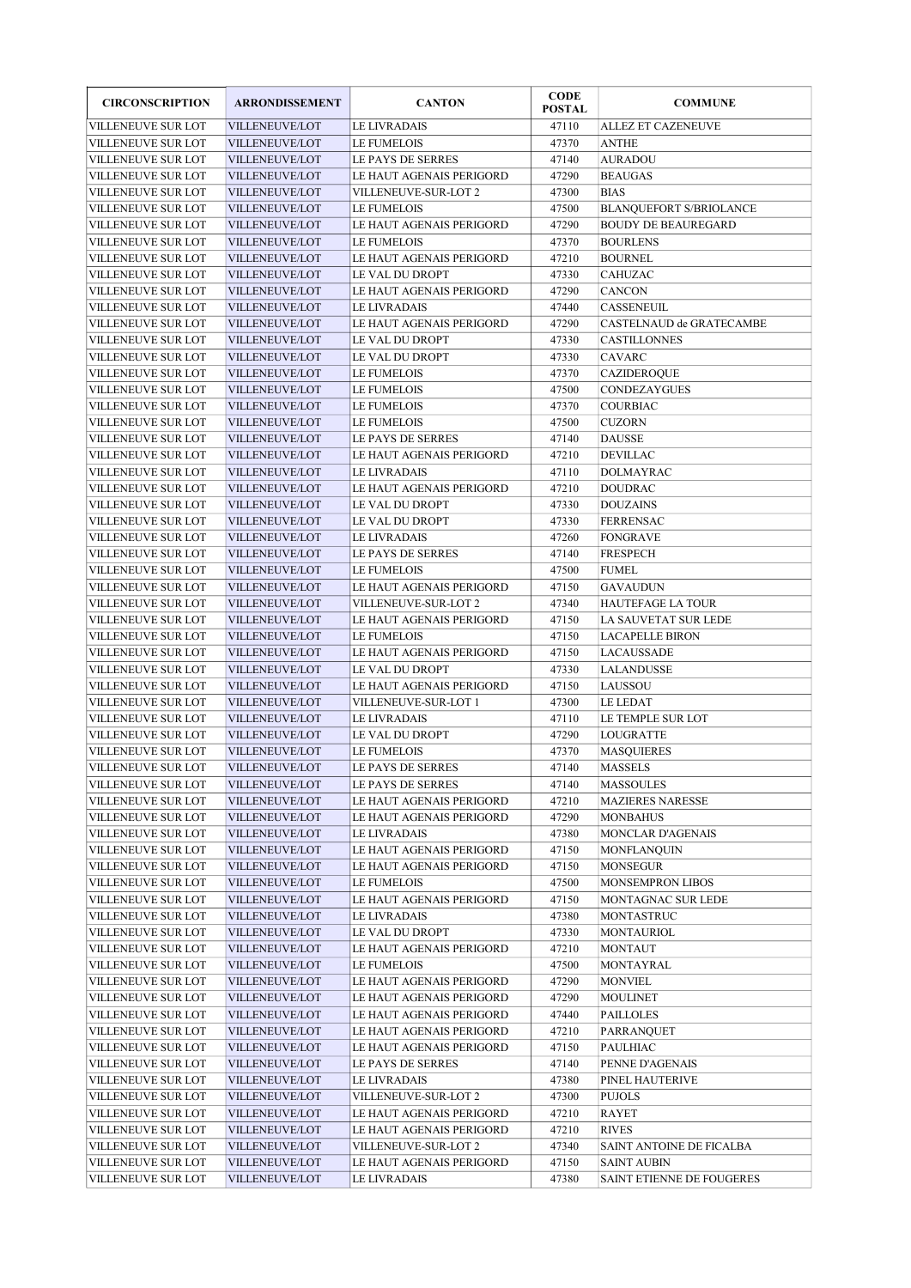| <b>CIRCONSCRIPTION</b>                   | <b>ARRONDISSEMENT</b>                   | <b>CANTON</b>                                    | <b>CODE</b><br><b>POSTAL</b> | <b>COMMUNE</b>                              |
|------------------------------------------|-----------------------------------------|--------------------------------------------------|------------------------------|---------------------------------------------|
| VILLENEUVE SUR LOT                       | <b>VILLENEUVE/LOT</b>                   | LE LIVRADAIS                                     | 47110                        | <b>ALLEZ ET CAZENEUVE</b>                   |
| VILLENEUVE SUR LOT                       | <b>VILLENEUVE/LOT</b>                   | LE FUMELOIS                                      | 47370                        | <b>ANTHE</b>                                |
| VILLENEUVE SUR LOT                       | <b>VILLENEUVE/LOT</b>                   | LE PAYS DE SERRES                                | 47140                        | <b>AURADOU</b>                              |
| VILLENEUVE SUR LOT                       | VILLENEUVE/LOT                          | LE HAUT AGENAIS PERIGORD                         | 47290                        | <b>BEAUGAS</b>                              |
| <b>VILLENEUVE SUR LOT</b>                | <b>VILLENEUVE/LOT</b>                   | VILLENEUVE-SUR-LOT 2                             | 47300                        | <b>BIAS</b>                                 |
| VILLENEUVE SUR LOT                       | <b>VILLENEUVE/LOT</b>                   | <b>LE FUMELOIS</b>                               | 47500                        | <b>BLANQUEFORT S/BRIOLANCE</b>              |
| VILLENEUVE SUR LOT                       | <b>VILLENEUVE/LOT</b>                   | LE HAUT AGENAIS PERIGORD                         | 47290                        | <b>BOUDY DE BEAUREGARD</b>                  |
| VILLENEUVE SUR LOT                       | <b>VILLENEUVE/LOT</b>                   | <b>LE FUMELOIS</b>                               | 47370                        | <b>BOURLENS</b>                             |
| VILLENEUVE SUR LOT                       | <b>VILLENEUVE/LOT</b>                   | LE HAUT AGENAIS PERIGORD                         | 47210                        | <b>BOURNEL</b>                              |
| VILLENEUVE SUR LOT                       | <b>VILLENEUVE/LOT</b>                   | LE VAL DU DROPT                                  | 47330                        | CAHUZAC                                     |
| <b>VILLENEUVE SUR LOT</b>                | <b>VILLENEUVE/LOT</b>                   | LE HAUT AGENAIS PERIGORD                         | 47290                        | CANCON                                      |
| VILLENEUVE SUR LOT                       | <b>VILLENEUVE/LOT</b>                   | LE LIVRADAIS                                     | 47440                        | CASSENEUIL                                  |
| VILLENEUVE SUR LOT                       | VILLENEUVE/LOT                          | LE HAUT AGENAIS PERIGORD                         | 47290                        | CASTELNAUD de GRATECAMBE                    |
| VILLENEUVE SUR LOT                       | VILLENEUVE/LOT                          | LE VAL DU DROPT                                  | 47330                        | CASTILLONNES                                |
| VILLENEUVE SUR LOT                       | <b>VILLENEUVE/LOT</b>                   | LE VAL DU DROPT                                  | 47330                        | CAVARC                                      |
| VILLENEUVE SUR LOT                       | <b>VILLENEUVE/LOT</b>                   | LE FUMELOIS                                      | 47370                        | CAZIDEROQUE                                 |
| VILLENEUVE SUR LOT                       | <b>VILLENEUVE/LOT</b>                   | LE FUMELOIS                                      | 47500                        | <b>CONDEZAYGUES</b>                         |
| VILLENEUVE SUR LOT                       | <b>VILLENEUVE/LOT</b>                   | <b>LE FUMELOIS</b>                               | 47370                        | <b>COURBIAC</b>                             |
| <b>VILLENEUVE SUR LOT</b>                | <b>VILLENEUVE/LOT</b>                   | <b>LE FUMELOIS</b>                               | 47500                        | <b>CUZORN</b>                               |
| VILLENEUVE SUR LOT                       | VILLENEUVE/LOT                          | LE PAYS DE SERRES                                | 47140                        | <b>DAUSSE</b>                               |
| VILLENEUVE SUR LOT                       | <b>VILLENEUVE/LOT</b>                   | LE HAUT AGENAIS PERIGORD                         | 47210                        | DEVILLAC                                    |
| VILLENEUVE SUR LOT                       | <b>VILLENEUVE/LOT</b>                   | LE LIVRADAIS<br>LE HAUT AGENAIS PERIGORD         | 47110                        | DOLMAYRAC                                   |
| VILLENEUVE SUR LOT                       | <b>VILLENEUVE/LOT</b>                   |                                                  | 47210                        | <b>DOUDRAC</b>                              |
| VILLENEUVE SUR LOT                       | VILLENEUVE/LOT                          | LE VAL DU DROPT                                  | 47330                        | <b>DOUZAINS</b>                             |
| VILLENEUVE SUR LOT                       | <b>VILLENEUVE/LOT</b>                   | LE VAL DU DROPT                                  | 47330                        | <b>FERRENSAC</b>                            |
| VILLENEUVE SUR LOT                       | VILLENEUVE/LOT                          | <b>LE LIVRADAIS</b>                              | 47260                        | FONGRAVE                                    |
| VILLENEUVE SUR LOT                       | <b>VILLENEUVE/LOT</b>                   | LE PAYS DE SERRES                                | 47140                        | FRESPECH                                    |
| VILLENEUVE SUR LOT                       | <b>VILLENEUVE/LOT</b>                   | <b>LE FUMELOIS</b>                               | 47500                        | <b>FUMEL</b>                                |
| VILLENEUVE SUR LOT<br>VILLENEUVE SUR LOT | <b>VILLENEUVE/LOT</b><br>VILLENEUVE/LOT | LE HAUT AGENAIS PERIGORD<br>VILLENEUVE-SUR-LOT 2 | 47150<br>47340               | <b>GAVAUDUN</b><br><b>HAUTEFAGE LA TOUR</b> |
| VILLENEUVE SUR LOT                       | <b>VILLENEUVE/LOT</b>                   | LE HAUT AGENAIS PERIGORD                         | 47150                        | LA SAUVETAT SUR LEDE                        |
| VILLENEUVE SUR LOT                       | VILLENEUVE/LOT                          | LE FUMELOIS                                      | 47150                        | <b>LACAPELLE BIRON</b>                      |
| VILLENEUVE SUR LOT                       | <b>VILLENEUVE/LOT</b>                   | LE HAUT AGENAIS PERIGORD                         | 47150                        | LACAUSSADE                                  |
| VILLENEUVE SUR LOT                       | <b>VILLENEUVE/LOT</b>                   | LE VAL DU DROPT                                  | 47330                        | LALANDUSSE                                  |
| VILLENEUVE SUR LOT                       | <b>VILLENEUVE/LOT</b>                   | LE HAUT AGENAIS PERIGORD                         | 47150                        | LAUSSOU                                     |
| VILLENEUVE SUR LOT                       | VILLENEUVE/LOT                          | VILLENEUVE-SUR-LOT 1                             | 47300                        | LE LEDAT                                    |
| <b>VILLENEUVE SUR LOT</b>                | <b>VILLENEUVE/LOT</b>                   | <b>LE LIVRADAIS</b>                              | 47110                        | LE TEMPLE SUR LOT                           |
| VILLENEUVE SUR LOT                       | VILLENEUVE/LOT                          | LE VAL DU DROPT                                  | 47290                        | LOUGRATTE                                   |
| VILLENEUVE SUR LOT                       | VILLENEUVE/LOT                          | <b>LE FUMELOIS</b>                               | 47370                        | <b>MASQUIERES</b>                           |
| VILLENEUVE SUR LOT                       | VILLENEUVE/LOT                          | LE PAYS DE SERRES                                | 47140                        | <b>MASSELS</b>                              |
| VILLENEUVE SUR LOT                       | VILLENEUVE/LOT                          | LE PAYS DE SERRES                                | 47140                        | <b>MASSOULES</b>                            |
| VILLENEUVE SUR LOT                       | VILLENEUVE/LOT                          | LE HAUT AGENAIS PERIGORD                         | 47210                        | <b>MAZIERES NARESSE</b>                     |
| VILLENEUVE SUR LOT                       | VILLENEUVE/LOT                          | LE HAUT AGENAIS PERIGORD                         | 47290                        | <b>MONBAHUS</b>                             |
| VILLENEUVE SUR LOT                       | VILLENEUVE/LOT                          | LE LIVRADAIS                                     | 47380                        | MONCLAR D'AGENAIS                           |
| VILLENEUVE SUR LOT                       | VILLENEUVE/LOT                          | LE HAUT AGENAIS PERIGORD                         | 47150                        | MONFLANQUIN                                 |
| VILLENEUVE SUR LOT                       | VILLENEUVE/LOT                          | LE HAUT AGENAIS PERIGORD                         | 47150                        | MONSEGUR                                    |
| VILLENEUVE SUR LOT                       | VILLENEUVE/LOT                          | LE FUMELOIS                                      | 47500                        | <b>MONSEMPRON LIBOS</b>                     |
| VILLENEUVE SUR LOT                       | VILLENEUVE/LOT                          | LE HAUT AGENAIS PERIGORD                         | 47150                        | MONTAGNAC SUR LEDE                          |
| VILLENEUVE SUR LOT                       | VILLENEUVE/LOT                          | LE LIVRADAIS                                     | 47380                        | MONTASTRUC                                  |
| VILLENEUVE SUR LOT                       | VILLENEUVE/LOT                          | LE VAL DU DROPT                                  | 47330                        | MONTAURIOL                                  |
| VILLENEUVE SUR LOT                       | VILLENEUVE/LOT                          | LE HAUT AGENAIS PERIGORD                         | 47210                        | MONTAUT                                     |
| VILLENEUVE SUR LOT                       | VILLENEUVE/LOT                          | LE FUMELOIS                                      | 47500                        | MONTAYRAL                                   |
| VILLENEUVE SUR LOT                       | VILLENEUVE/LOT                          | LE HAUT AGENAIS PERIGORD                         | 47290                        | <b>MONVIEL</b>                              |
| VILLENEUVE SUR LOT                       | VILLENEUVE/LOT                          | LE HAUT AGENAIS PERIGORD                         | 47290                        | <b>MOULINET</b>                             |
| VILLENEUVE SUR LOT                       | VILLENEUVE/LOT                          | LE HAUT AGENAIS PERIGORD                         | 47440                        | PAILLOLES                                   |
| VILLENEUVE SUR LOT                       | VILLENEUVE/LOT                          | LE HAUT AGENAIS PERIGORD                         | 47210                        | PARRANQUET                                  |
| VILLENEUVE SUR LOT                       | VILLENEUVE/LOT                          | LE HAUT AGENAIS PERIGORD                         | 47150                        | <b>PAULHIAC</b>                             |
| VILLENEUVE SUR LOT                       | VILLENEUVE/LOT                          | LE PAYS DE SERRES                                | 47140                        | PENNE D'AGENAIS                             |
| VILLENEUVE SUR LOT                       | VILLENEUVE/LOT                          | LE LIVRADAIS                                     | 47380                        | PINEL HAUTERIVE                             |
| VILLENEUVE SUR LOT                       | VILLENEUVE/LOT                          | VILLENEUVE-SUR-LOT 2                             | 47300                        | <b>PUJOLS</b>                               |
| VILLENEUVE SUR LOT                       | VILLENEUVE/LOT                          | LE HAUT AGENAIS PERIGORD                         | 47210                        | RAYET                                       |
| VILLENEUVE SUR LOT                       | VILLENEUVE/LOT                          | LE HAUT AGENAIS PERIGORD                         | 47210                        | <b>RIVES</b>                                |
| VILLENEUVE SUR LOT                       | VILLENEUVE/LOT                          | VILLENEUVE-SUR-LOT 2                             | 47340                        | SAINT ANTOINE DE FICALBA                    |
| VILLENEUVE SUR LOT                       | VILLENEUVE/LOT                          | LE HAUT AGENAIS PERIGORD                         | 47150                        | <b>SAINT AUBIN</b>                          |
| VILLENEUVE SUR LOT                       | VILLENEUVE/LOT                          | LE LIVRADAIS                                     | 47380                        | SAINT ETIENNE DE FOUGERES                   |